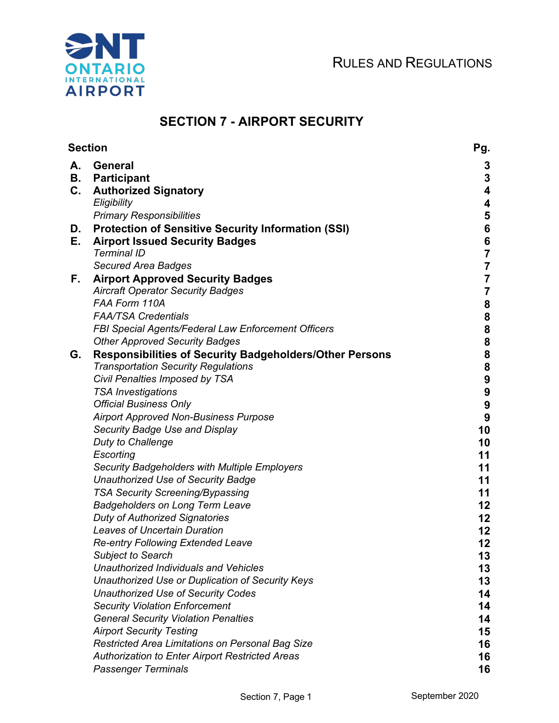RULES AND REGULATIONS



| <b>Section</b> |                                                           | Pg.              |
|----------------|-----------------------------------------------------------|------------------|
| А.             | <b>General</b>                                            | 3                |
| В.             | <b>Participant</b>                                        | $\mathbf{3}$     |
| C.             | <b>Authorized Signatory</b>                               | 4                |
|                | Eligibility                                               | 4                |
|                | <b>Primary Responsibilities</b>                           | 5                |
| D.             | <b>Protection of Sensitive Security Information (SSI)</b> | $\bf 6$          |
| Е.             | <b>Airport Issued Security Badges</b>                     | $\boldsymbol{6}$ |
|                | <b>Terminal ID</b>                                        | $\overline{7}$   |
|                | <b>Secured Area Badges</b>                                | $\overline{7}$   |
| F.             | <b>Airport Approved Security Badges</b>                   | $\overline{7}$   |
|                | <b>Aircraft Operator Security Badges</b>                  | $\overline{7}$   |
|                | FAA Form 110A                                             | 8                |
|                | <b>FAA/TSA Credentials</b>                                | 8                |
|                | FBI Special Agents/Federal Law Enforcement Officers       | 8                |
|                | <b>Other Approved Security Badges</b>                     | 8                |
| G.             | Responsibilities of Security Badgeholders/Other Persons   | 8                |
|                | <b>Transportation Security Regulations</b>                | 8                |
|                | Civil Penalties Imposed by TSA                            | 9                |
|                | <b>TSA Investigations</b>                                 | 9                |
|                | <b>Official Business Only</b>                             | $\boldsymbol{9}$ |
|                | <b>Airport Approved Non-Business Purpose</b>              | 9                |
|                | Security Badge Use and Display                            | 10               |
|                | Duty to Challenge                                         | 10               |
|                | Escorting                                                 | 11               |
|                | <b>Security Badgeholders with Multiple Employers</b>      | 11               |
|                | <b>Unauthorized Use of Security Badge</b>                 | 11               |
|                | <b>TSA Security Screening/Bypassing</b>                   | 11               |
|                | <b>Badgeholders on Long Term Leave</b>                    | 12               |
|                | <b>Duty of Authorized Signatories</b>                     | 12               |
|                | <b>Leaves of Uncertain Duration</b>                       | 12               |
|                | Re-entry Following Extended Leave                         | 12               |
|                | Subject to Search                                         | 13               |
|                | <b>Unauthorized Individuals and Vehicles</b>              | 13               |
|                | Unauthorized Use or Duplication of Security Keys          | 13               |
|                | <b>Unauthorized Use of Security Codes</b>                 | 14               |
|                | <b>Security Violation Enforcement</b>                     | 14               |
|                | <b>General Security Violation Penalties</b>               | 14               |
|                | <b>Airport Security Testing</b>                           | 15               |
|                | Restricted Area Limitations on Personal Bag Size          | 16               |
|                | <b>Authorization to Enter Airport Restricted Areas</b>    | 16               |
|                | <b>Passenger Terminals</b>                                | 16               |

# **SECTION 7 - AIRPORT SECURITY**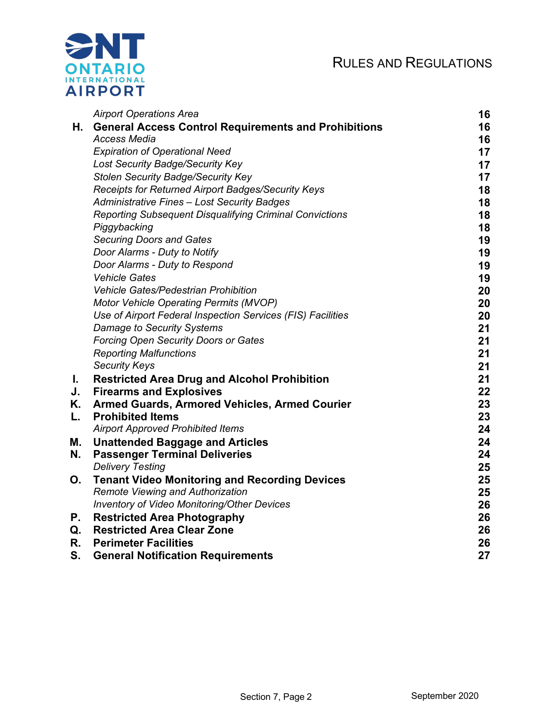# RULES AND REGULATIONS



|    | <b>Airport Operations Area</b>                                 | 16 |
|----|----------------------------------------------------------------|----|
| Η. | <b>General Access Control Requirements and Prohibitions</b>    | 16 |
|    | <b>Access Media</b>                                            | 16 |
|    | <b>Expiration of Operational Need</b>                          | 17 |
|    | Lost Security Badge/Security Key                               | 17 |
|    | <b>Stolen Security Badge/Security Key</b>                      | 17 |
|    | Receipts for Returned Airport Badges/Security Keys             | 18 |
|    | <b>Administrative Fines - Lost Security Badges</b>             | 18 |
|    | <b>Reporting Subsequent Disqualifying Criminal Convictions</b> | 18 |
|    | Piggybacking                                                   | 18 |
|    | <b>Securing Doors and Gates</b>                                | 19 |
|    | Door Alarms - Duty to Notify                                   | 19 |
|    | Door Alarms - Duty to Respond                                  | 19 |
|    | <b>Vehicle Gates</b>                                           | 19 |
|    | Vehicle Gates/Pedestrian Prohibition                           | 20 |
|    | <b>Motor Vehicle Operating Permits (MVOP)</b>                  | 20 |
|    | Use of Airport Federal Inspection Services (FIS) Facilities    | 20 |
|    | Damage to Security Systems                                     | 21 |
|    | <b>Forcing Open Security Doors or Gates</b>                    | 21 |
|    | <b>Reporting Malfunctions</b>                                  | 21 |
|    | <b>Security Keys</b>                                           | 21 |
| L. | <b>Restricted Area Drug and Alcohol Prohibition</b>            | 21 |
| J. | <b>Firearms and Explosives</b>                                 | 22 |
| Κ. | <b>Armed Guards, Armored Vehicles, Armed Courier</b>           | 23 |
| L. | <b>Prohibited Items</b>                                        | 23 |
|    | <b>Airport Approved Prohibited Items</b>                       | 24 |
| Μ. | <b>Unattended Baggage and Articles</b>                         | 24 |
| N. | <b>Passenger Terminal Deliveries</b>                           | 24 |
|    | <b>Delivery Testing</b>                                        | 25 |
| О. | <b>Tenant Video Monitoring and Recording Devices</b>           | 25 |
|    | <b>Remote Viewing and Authorization</b>                        | 25 |
|    | <b>Inventory of Video Monitoring/Other Devices</b>             | 26 |
| Р. | <b>Restricted Area Photography</b>                             | 26 |
| Q. | <b>Restricted Area Clear Zone</b>                              | 26 |
| R. | <b>Perimeter Facilities</b>                                    | 26 |
| S. | <b>General Notification Requirements</b>                       | 27 |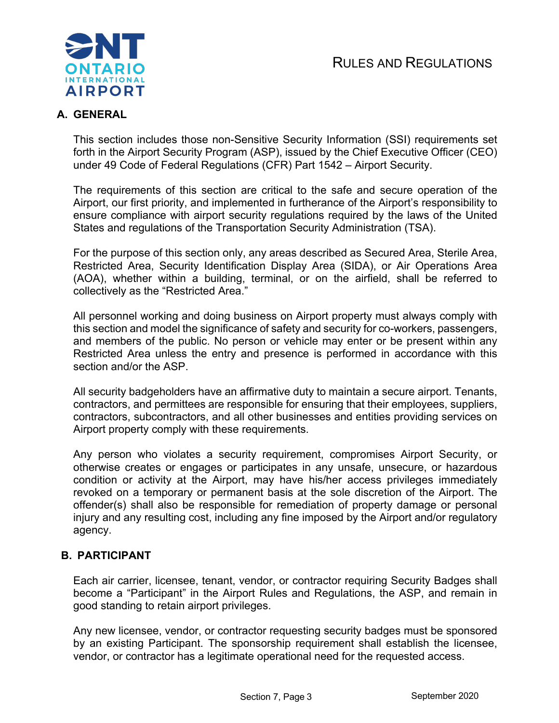

# **A. GENERAL**

This section includes those non-Sensitive Security Information (SSI) requirements set forth in the Airport Security Program (ASP), issued by the Chief Executive Officer (CEO) under 49 Code of Federal Regulations (CFR) Part 1542 – Airport Security.

The requirements of this section are critical to the safe and secure operation of the Airport, our first priority, and implemented in furtherance of the Airport's responsibility to ensure compliance with airport security regulations required by the laws of the United States and regulations of the Transportation Security Administration (TSA).

For the purpose of this section only, any areas described as Secured Area, Sterile Area, Restricted Area, Security Identification Display Area (SIDA), or Air Operations Area (AOA), whether within a building, terminal, or on the airfield, shall be referred to collectively as the "Restricted Area."

All personnel working and doing business on Airport property must always comply with this section and model the significance of safety and security for co-workers, passengers, and members of the public. No person or vehicle may enter or be present within any Restricted Area unless the entry and presence is performed in accordance with this section and/or the ASP.

All security badgeholders have an affirmative duty to maintain a secure airport. Tenants, contractors, and permittees are responsible for ensuring that their employees, suppliers, contractors, subcontractors, and all other businesses and entities providing services on Airport property comply with these requirements.

Any person who violates a security requirement, compromises Airport Security, or otherwise creates or engages or participates in any unsafe, unsecure, or hazardous condition or activity at the Airport, may have his/her access privileges immediately revoked on a temporary or permanent basis at the sole discretion of the Airport. The offender(s) shall also be responsible for remediation of property damage or personal injury and any resulting cost, including any fine imposed by the Airport and/or regulatory agency.

### **B. PARTICIPANT**

Each air carrier, licensee, tenant, vendor, or contractor requiring Security Badges shall become a "Participant" in the Airport Rules and Regulations, the ASP, and remain in good standing to retain airport privileges.

Any new licensee, vendor, or contractor requesting security badges must be sponsored by an existing Participant. The sponsorship requirement shall establish the licensee, vendor, or contractor has a legitimate operational need for the requested access.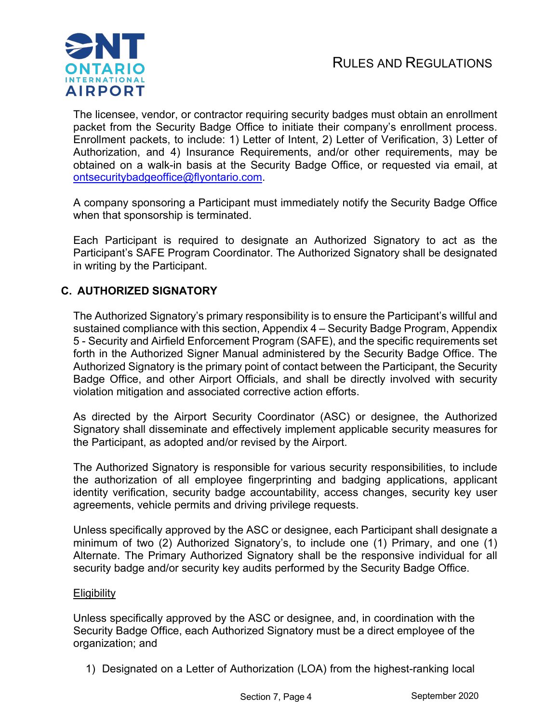

The licensee, vendor, or contractor requiring security badges must obtain an enrollment packet from the Security Badge Office to initiate their company's enrollment process. Enrollment packets, to include: 1) Letter of Intent, 2) Letter of Verification, 3) Letter of Authorization, and 4) Insurance Requirements, and/or other requirements, may be obtained on a walk-in basis at the Security Badge Office, or requested via email, at ontsecuritybadgeoffice@flyontario.com.

A company sponsoring a Participant must immediately notify the Security Badge Office when that sponsorship is terminated.

Each Participant is required to designate an Authorized Signatory to act as the Participant's SAFE Program Coordinator. The Authorized Signatory shall be designated in writing by the Participant.

### **C. AUTHORIZED SIGNATORY**

The Authorized Signatory's primary responsibility is to ensure the Participant's willful and sustained compliance with this section, Appendix 4 – Security Badge Program, Appendix 5 - Security and Airfield Enforcement Program (SAFE), and the specific requirements set forth in the Authorized Signer Manual administered by the Security Badge Office. The Authorized Signatory is the primary point of contact between the Participant, the Security Badge Office, and other Airport Officials, and shall be directly involved with security violation mitigation and associated corrective action efforts.

As directed by the Airport Security Coordinator (ASC) or designee, the Authorized Signatory shall disseminate and effectively implement applicable security measures for the Participant, as adopted and/or revised by the Airport.

The Authorized Signatory is responsible for various security responsibilities, to include the authorization of all employee fingerprinting and badging applications, applicant identity verification, security badge accountability, access changes, security key user agreements, vehicle permits and driving privilege requests.

Unless specifically approved by the ASC or designee, each Participant shall designate a minimum of two (2) Authorized Signatory's, to include one (1) Primary, and one (1) Alternate. The Primary Authorized Signatory shall be the responsive individual for all security badge and/or security key audits performed by the Security Badge Office.

### **Eligibility**

 Unless specifically approved by the ASC or designee, and, in coordination with the Security Badge Office, each Authorized Signatory must be a direct employee of the organization; and

1) Designated on a Letter of Authorization (LOA) from the highest-ranking local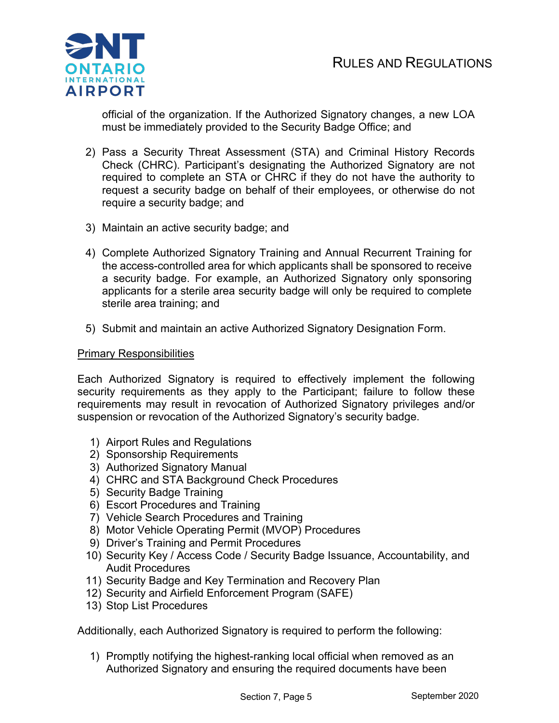

official of the organization. If the Authorized Signatory changes, a new LOA must be immediately provided to the Security Badge Office; and

- 2) Pass a Security Threat Assessment (STA) and Criminal History Records Check (CHRC). Participant's designating the Authorized Signatory are not required to complete an STA or CHRC if they do not have the authority to request a security badge on behalf of their employees, or otherwise do not require a security badge; and
- 3) Maintain an active security badge; and
- 4) Complete Authorized Signatory Training and Annual Recurrent Training for the access-controlled area for which applicants shall be sponsored to receive a security badge. For example, an Authorized Signatory only sponsoring applicants for a sterile area security badge will only be required to complete sterile area training; and
- 5) Submit and maintain an active Authorized Signatory Designation Form.

### Primary Responsibilities

Each Authorized Signatory is required to effectively implement the following security requirements as they apply to the Participant; failure to follow these requirements may result in revocation of Authorized Signatory privileges and/or suspension or revocation of the Authorized Signatory's security badge.

- 1) Airport Rules and Regulations
- 2) Sponsorship Requirements
- 3) Authorized Signatory Manual
- 4) CHRC and STA Background Check Procedures
- 5) Security Badge Training
- 6) Escort Procedures and Training
- 7) Vehicle Search Procedures and Training
- 8) Motor Vehicle Operating Permit (MVOP) Procedures
- 9) Driver's Training and Permit Procedures
- 10) Security Key / Access Code / Security Badge Issuance, Accountability, and Audit Procedures
- 11) Security Badge and Key Termination and Recovery Plan
- 12) Security and Airfield Enforcement Program (SAFE)
- 13) Stop List Procedures

Additionally, each Authorized Signatory is required to perform the following:

1) Promptly notifying the highest-ranking local official when removed as an Authorized Signatory and ensuring the required documents have been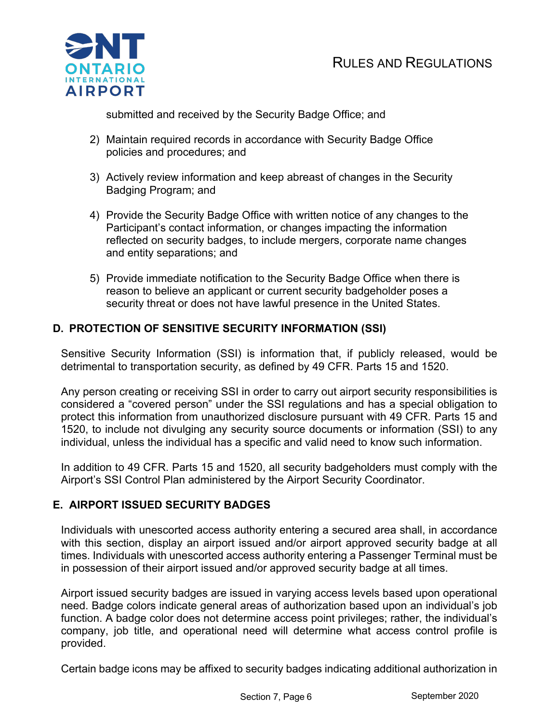

submitted and received by the Security Badge Office; and

- 2) Maintain required records in accordance with Security Badge Office policies and procedures; and
- 3) Actively review information and keep abreast of changes in the Security Badging Program; and
- 4) Provide the Security Badge Office with written notice of any changes to the Participant's contact information, or changes impacting the information reflected on security badges, to include mergers, corporate name changes and entity separations; and
- 5) Provide immediate notification to the Security Badge Office when there is reason to believe an applicant or current security badgeholder poses a security threat or does not have lawful presence in the United States.

# **D. PROTECTION OF SENSITIVE SECURITY INFORMATION (SSI)**

Sensitive Security Information (SSI) is information that, if publicly released, would be detrimental to transportation security, as defined by 49 CFR. Parts 15 and 1520.

Any person creating or receiving SSI in order to carry out airport security responsibilities is considered a "covered person" under the SSI regulations and has a special obligation to protect this information from unauthorized disclosure pursuant with 49 CFR. Parts 15 and 1520, to include not divulging any security source documents or information (SSI) to any individual, unless the individual has a specific and valid need to know such information.

In addition to 49 CFR. Parts 15 and 1520, all security badgeholders must comply with the Airport's SSI Control Plan administered by the Airport Security Coordinator.

# **E. AIRPORT ISSUED SECURITY BADGES**

Individuals with unescorted access authority entering a secured area shall, in accordance with this section, display an airport issued and/or airport approved security badge at all times. Individuals with unescorted access authority entering a Passenger Terminal must be in possession of their airport issued and/or approved security badge at all times.

Airport issued security badges are issued in varying access levels based upon operational need. Badge colors indicate general areas of authorization based upon an individual's job function. A badge color does not determine access point privileges; rather, the individual's company, job title, and operational need will determine what access control profile is provided.

Certain badge icons may be affixed to security badges indicating additional authorization in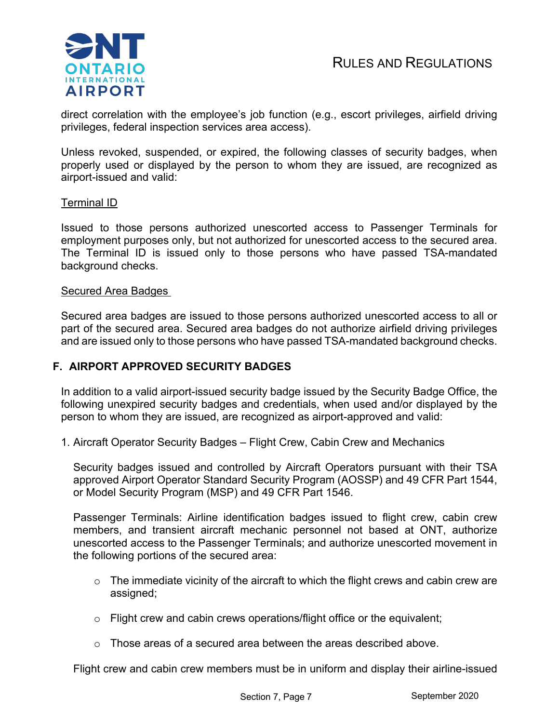RULES AND REGULATIONS



direct correlation with the employee's job function (e.g., escort privileges, airfield driving privileges, federal inspection services area access).

Unless revoked, suspended, or expired, the following classes of security badges, when properly used or displayed by the person to whom they are issued, are recognized as airport-issued and valid:

### Terminal ID

Issued to those persons authorized unescorted access to Passenger Terminals for employment purposes only, but not authorized for unescorted access to the secured area. The Terminal ID is issued only to those persons who have passed TSA-mandated background checks.

### Secured Area Badges

Secured area badges are issued to those persons authorized unescorted access to all or part of the secured area. Secured area badges do not authorize airfield driving privileges and are issued only to those persons who have passed TSA-mandated background checks.

### **F. AIRPORT APPROVED SECURITY BADGES**

In addition to a valid airport-issued security badge issued by the Security Badge Office, the following unexpired security badges and credentials, when used and/or displayed by the person to whom they are issued, are recognized as airport-approved and valid:

1. Aircraft Operator Security Badges – Flight Crew, Cabin Crew and Mechanics

Security badges issued and controlled by Aircraft Operators pursuant with their TSA approved Airport Operator Standard Security Program (AOSSP) and 49 CFR Part 1544, or Model Security Program (MSP) and 49 CFR Part 1546.

Passenger Terminals: Airline identification badges issued to flight crew, cabin crew members, and transient aircraft mechanic personnel not based at ONT, authorize unescorted access to the Passenger Terminals; and authorize unescorted movement in the following portions of the secured area:

- $\circ$  The immediate vicinity of the aircraft to which the flight crews and cabin crew are assigned;
- $\circ$  Flight crew and cabin crews operations/flight office or the equivalent;
- $\circ$  Those areas of a secured area between the areas described above.

Flight crew and cabin crew members must be in uniform and display their airline-issued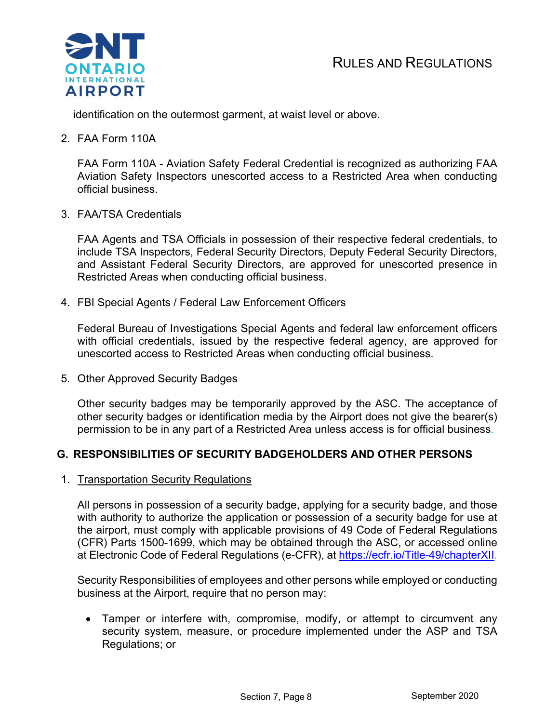

identification on the outermost garment, at waist level or above.

2. FAA Form 110A

FAA Form 110A - Aviation Safety Federal Credential is recognized as authorizing FAA Aviation Safety Inspectors unescorted access to a Restricted Area when conducting official business.

3. FAA/TSA Credentials

FAA Agents and TSA Officials in possession of their respective federal credentials, to include TSA Inspectors, Federal Security Directors, Deputy Federal Security Directors, and Assistant Federal Security Directors, are approved for unescorted presence in Restricted Areas when conducting official business.

4. FBI Special Agents / Federal Law Enforcement Officers

Federal Bureau of Investigations Special Agents and federal law enforcement officers with official credentials, issued by the respective federal agency, are approved for unescorted access to Restricted Areas when conducting official business.

5. Other Approved Security Badges

Other security badges may be temporarily approved by the ASC. The acceptance of other security badges or identification media by the Airport does not give the bearer(s) permission to be in any part of a Restricted Area unless access is for official business.

# **G. RESPONSIBILITIES OF SECURITY BADGEHOLDERS AND OTHER PERSONS**

1. Transportation Security Regulations

All persons in possession of a security badge, applying for a security badge, and those with authority to authorize the application or possession of a security badge for use at the airport, must comply with applicable provisions of 49 Code of Federal Regulations (CFR) Parts 1500-1699, which may be obtained through the ASC, or accessed online at Electronic Code of Federal Regulations (e-CFR), at https://ecfr.io/Title-49/chapterXII.

Security Responsibilities of employees and other persons while employed or conducting business at the Airport, require that no person may:

• Tamper or interfere with, compromise, modify, or attempt to circumvent any security system, measure, or procedure implemented under the ASP and TSA Regulations; or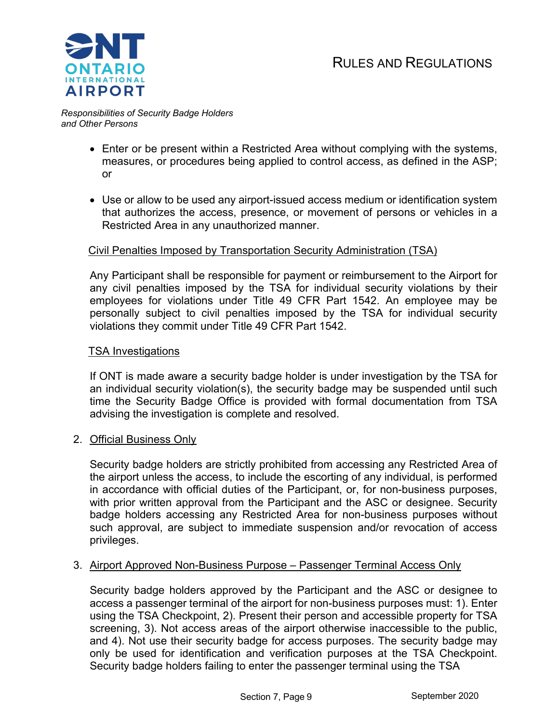

- Enter or be present within a Restricted Area without complying with the systems, measures, or procedures being applied to control access, as defined in the ASP; or
- Use or allow to be used any airport-issued access medium or identification system that authorizes the access, presence, or movement of persons or vehicles in a Restricted Area in any unauthorized manner.

### Civil Penalties Imposed by Transportation Security Administration (TSA)

Any Participant shall be responsible for payment or reimbursement to the Airport for any civil penalties imposed by the TSA for individual security violations by their employees for violations under Title 49 CFR Part 1542. An employee may be personally subject to civil penalties imposed by the TSA for individual security violations they commit under Title 49 CFR Part 1542.

### TSA Investigations

If ONT is made aware a security badge holder is under investigation by the TSA for an individual security violation(s), the security badge may be suspended until such time the Security Badge Office is provided with formal documentation from TSA advising the investigation is complete and resolved.

2. Official Business Only

Security badge holders are strictly prohibited from accessing any Restricted Area of the airport unless the access, to include the escorting of any individual, is performed in accordance with official duties of the Participant, or, for non-business purposes, with prior written approval from the Participant and the ASC or designee. Security badge holders accessing any Restricted Area for non-business purposes without such approval, are subject to immediate suspension and/or revocation of access privileges.

### 3. Airport Approved Non-Business Purpose – Passenger Terminal Access Only

Security badge holders approved by the Participant and the ASC or designee to access a passenger terminal of the airport for non-business purposes must: 1). Enter using the TSA Checkpoint, 2). Present their person and accessible property for TSA screening, 3). Not access areas of the airport otherwise inaccessible to the public, and 4). Not use their security badge for access purposes. The security badge may only be used for identification and verification purposes at the TSA Checkpoint. Security badge holders failing to enter the passenger terminal using the TSA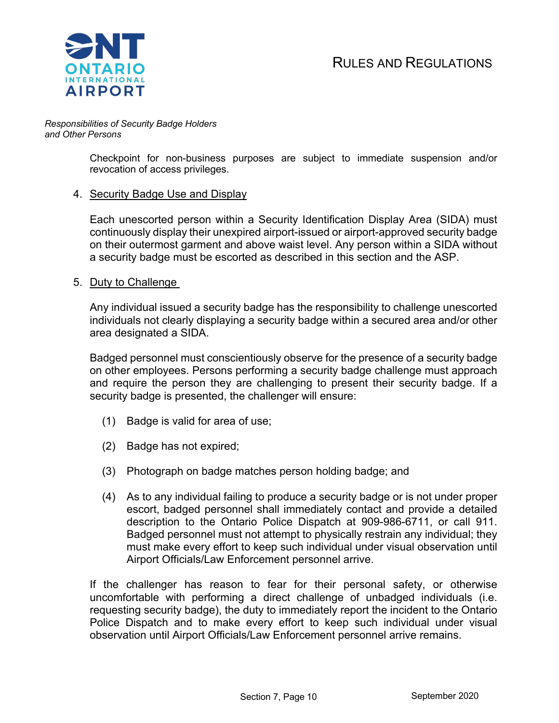

> Checkpoint for non-business purposes are subject to immediate suspension and/or revocation of access privileges.

### 4. Security Badge Use and Display

Each unescorted person within a Security Identification Display Area (SIDA) must continuously display their unexpired airport-issued or airport-approved security badge on their outermost garment and above waist level. Any person within a SIDA without a security badge must be escorted as described in this section and the ASP.

### 5. Duty to Challenge

Any individual issued a security badge has the responsibility to challenge unescorted individuals not clearly displaying a security badge within a secured area and/or other area designated a SIDA.

Badged personnel must conscientiously observe for the presence of a security badge on other employees. Persons performing a security badge challenge must approach and require the person they are challenging to present their security badge. If a security badge is presented, the challenger will ensure:

- (1) Badge is valid for area of use;
- (2) Badge has not expired;
- (3) Photograph on badge matches person holding badge; and
- (4) As to any individual failing to produce a security badge or is not under proper escort, badged personnel shall immediately contact and provide a detailed description to the Ontario Police Dispatch at 909-986-6711, or call 911. Badged personnel must not attempt to physically restrain any individual; they must make every effort to keep such individual under visual observation until Airport Officials/Law Enforcement personnel arrive.

If the challenger has reason to fear for their personal safety, or otherwise uncomfortable with performing a direct challenge of unbadged individuals (i.e. requesting security badge), the duty to immediately report the incident to the Ontario Police Dispatch and to make every effort to keep such individual under visual observation until Airport Officials/Law Enforcement personnel arrive remains.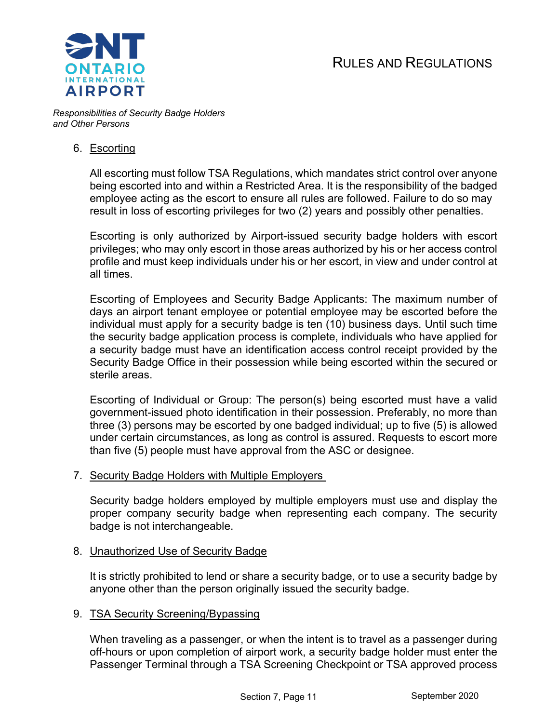

### 6. Escorting

All escorting must follow TSA Regulations, which mandates strict control over anyone being escorted into and within a Restricted Area. It is the responsibility of the badged employee acting as the escort to ensure all rules are followed. Failure to do so may result in loss of escorting privileges for two (2) years and possibly other penalties.

Escorting is only authorized by Airport-issued security badge holders with escort privileges; who may only escort in those areas authorized by his or her access control profile and must keep individuals under his or her escort, in view and under control at all times.

Escorting of Employees and Security Badge Applicants: The maximum number of days an airport tenant employee or potential employee may be escorted before the individual must apply for a security badge is ten (10) business days. Until such time the security badge application process is complete, individuals who have applied for a security badge must have an identification access control receipt provided by the Security Badge Office in their possession while being escorted within the secured or sterile areas.

Escorting of Individual or Group: The person(s) being escorted must have a valid government-issued photo identification in their possession. Preferably, no more than three (3) persons may be escorted by one badged individual; up to five (5) is allowed under certain circumstances, as long as control is assured. Requests to escort more than five (5) people must have approval from the ASC or designee.

### 7. Security Badge Holders with Multiple Employers

Security badge holders employed by multiple employers must use and display the proper company security badge when representing each company. The security badge is not interchangeable.

### 8. Unauthorized Use of Security Badge

It is strictly prohibited to lend or share a security badge, or to use a security badge by anyone other than the person originally issued the security badge.

### 9. TSA Security Screening/Bypassing

When traveling as a passenger, or when the intent is to travel as a passenger during off-hours or upon completion of airport work, a security badge holder must enter the Passenger Terminal through a TSA Screening Checkpoint or TSA approved process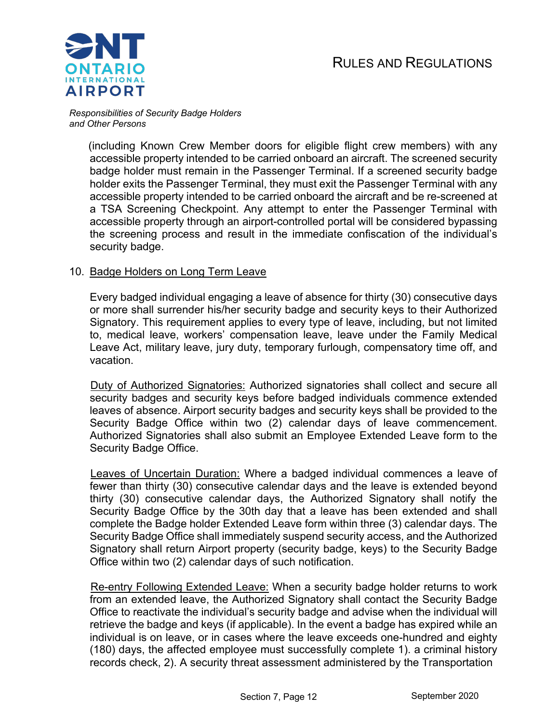

> (including Known Crew Member doors for eligible flight crew members) with any accessible property intended to be carried onboard an aircraft. The screened security badge holder must remain in the Passenger Terminal. If a screened security badge holder exits the Passenger Terminal, they must exit the Passenger Terminal with any accessible property intended to be carried onboard the aircraft and be re-screened at a TSA Screening Checkpoint. Any attempt to enter the Passenger Terminal with accessible property through an airport-controlled portal will be considered bypassing the screening process and result in the immediate confiscation of the individual's security badge.

### 10. Badge Holders on Long Term Leave

Every badged individual engaging a leave of absence for thirty (30) consecutive days or more shall surrender his/her security badge and security keys to their Authorized Signatory. This requirement applies to every type of leave, including, but not limited to, medical leave, workers' compensation leave, leave under the Family Medical Leave Act, military leave, jury duty, temporary furlough, compensatory time off, and vacation.

 Duty of Authorized Signatories: Authorized signatories shall collect and secure all security badges and security keys before badged individuals commence extended leaves of absence. Airport security badges and security keys shall be provided to the Security Badge Office within two (2) calendar days of leave commencement. Authorized Signatories shall also submit an Employee Extended Leave form to the Security Badge Office.

 Leaves of Uncertain Duration: Where a badged individual commences a leave of fewer than thirty (30) consecutive calendar days and the leave is extended beyond thirty (30) consecutive calendar days, the Authorized Signatory shall notify the Security Badge Office by the 30th day that a leave has been extended and shall complete the Badge holder Extended Leave form within three (3) calendar days. The Security Badge Office shall immediately suspend security access, and the Authorized Signatory shall return Airport property (security badge, keys) to the Security Badge Office within two (2) calendar days of such notification.

Re-entry Following Extended Leave: When a security badge holder returns to work from an extended leave, the Authorized Signatory shall contact the Security Badge Office to reactivate the individual's security badge and advise when the individual will retrieve the badge and keys (if applicable). In the event a badge has expired while an individual is on leave, or in cases where the leave exceeds one-hundred and eighty (180) days, the affected employee must successfully complete 1). a criminal history records check, 2). A security threat assessment administered by the Transportation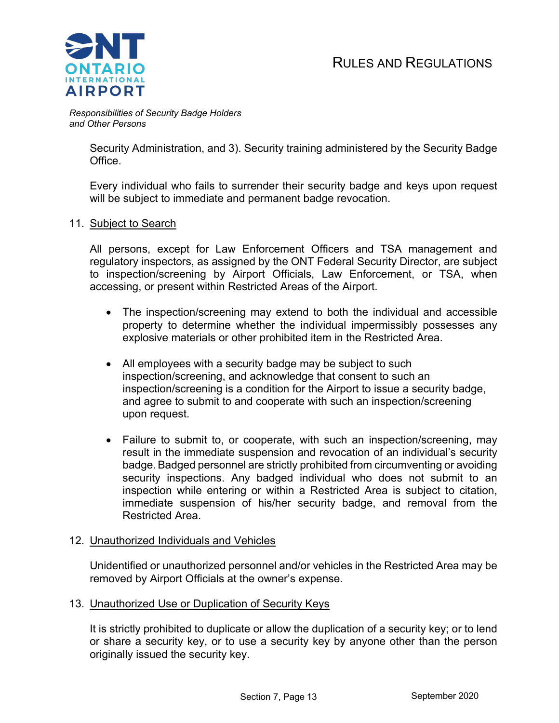

> Security Administration, and 3). Security training administered by the Security Badge Office.

> Every individual who fails to surrender their security badge and keys upon request will be subject to immediate and permanent badge revocation.

### 11. Subject to Search

All persons, except for Law Enforcement Officers and TSA management and regulatory inspectors, as assigned by the ONT Federal Security Director, are subject to inspection/screening by Airport Officials, Law Enforcement, or TSA, when accessing, or present within Restricted Areas of the Airport.

- The inspection/screening may extend to both the individual and accessible property to determine whether the individual impermissibly possesses any explosive materials or other prohibited item in the Restricted Area.
- All employees with a security badge may be subject to such inspection/screening, and acknowledge that consent to such an inspection/screening is a condition for the Airport to issue a security badge, and agree to submit to and cooperate with such an inspection/screening upon request.
- Failure to submit to, or cooperate, with such an inspection/screening, may result in the immediate suspension and revocation of an individual's security badge.Badged personnel are strictly prohibited from circumventing or avoiding security inspections. Any badged individual who does not submit to an inspection while entering or within a Restricted Area is subject to citation, immediate suspension of his/her security badge, and removal from the Restricted Area.

### 12. Unauthorized Individuals and Vehicles

Unidentified or unauthorized personnel and/or vehicles in the Restricted Area may be removed by Airport Officials at the owner's expense.

13. Unauthorized Use or Duplication of Security Keys

It is strictly prohibited to duplicate or allow the duplication of a security key; or to lend or share a security key, or to use a security key by anyone other than the person originally issued the security key.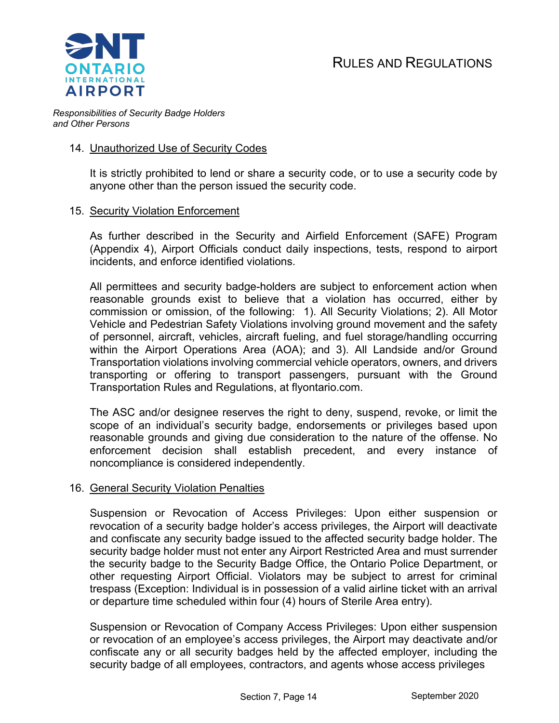

#### 14. Unauthorized Use of Security Codes

It is strictly prohibited to lend or share a security code, or to use a security code by anyone other than the person issued the security code.

#### 15. Security Violation Enforcement

As further described in the Security and Airfield Enforcement (SAFE) Program (Appendix 4), Airport Officials conduct daily inspections, tests, respond to airport incidents, and enforce identified violations.

All permittees and security badge-holders are subject to enforcement action when reasonable grounds exist to believe that a violation has occurred, either by commission or omission, of the following: 1). All Security Violations; 2). All Motor Vehicle and Pedestrian Safety Violations involving ground movement and the safety of personnel, aircraft, vehicles, aircraft fueling, and fuel storage/handling occurring within the Airport Operations Area (AOA); and 3). All Landside and/or Ground Transportation violations involving commercial vehicle operators, owners, and drivers transporting or offering to transport passengers, pursuant with the Ground Transportation Rules and Regulations, at flyontario.com.

The ASC and/or designee reserves the right to deny, suspend, revoke, or limit the scope of an individual's security badge, endorsements or privileges based upon reasonable grounds and giving due consideration to the nature of the offense. No enforcement decision shall establish precedent, and every instance of noncompliance is considered independently.

### 16. General Security Violation Penalties

Suspension or Revocation of Access Privileges: Upon either suspension or revocation of a security badge holder's access privileges, the Airport will deactivate and confiscate any security badge issued to the affected security badge holder. The security badge holder must not enter any Airport Restricted Area and must surrender the security badge to the Security Badge Office, the Ontario Police Department, or other requesting Airport Official. Violators may be subject to arrest for criminal trespass (Exception: Individual is in possession of a valid airline ticket with an arrival or departure time scheduled within four (4) hours of Sterile Area entry).

Suspension or Revocation of Company Access Privileges: Upon either suspension or revocation of an employee's access privileges, the Airport may deactivate and/or confiscate any or all security badges held by the affected employer, including the security badge of all employees, contractors, and agents whose access privileges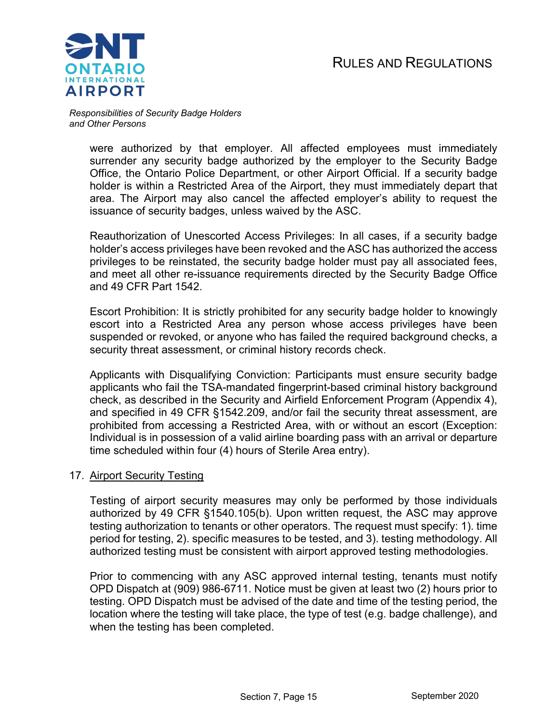

> were authorized by that employer. All affected employees must immediately surrender any security badge authorized by the employer to the Security Badge Office, the Ontario Police Department, or other Airport Official. If a security badge holder is within a Restricted Area of the Airport, they must immediately depart that area. The Airport may also cancel the affected employer's ability to request the issuance of security badges, unless waived by the ASC.

> Reauthorization of Unescorted Access Privileges: In all cases, if a security badge holder's access privileges have been revoked and the ASC has authorized the access privileges to be reinstated, the security badge holder must pay all associated fees, and meet all other re-issuance requirements directed by the Security Badge Office and 49 CFR Part 1542.

> Escort Prohibition: It is strictly prohibited for any security badge holder to knowingly escort into a Restricted Area any person whose access privileges have been suspended or revoked, or anyone who has failed the required background checks, a security threat assessment, or criminal history records check.

> Applicants with Disqualifying Conviction: Participants must ensure security badge applicants who fail the TSA-mandated fingerprint-based criminal history background check, as described in the Security and Airfield Enforcement Program (Appendix 4), and specified in 49 CFR §1542.209, and/or fail the security threat assessment, are prohibited from accessing a Restricted Area, with or without an escort (Exception: Individual is in possession of a valid airline boarding pass with an arrival or departure time scheduled within four (4) hours of Sterile Area entry).

### 17. Airport Security Testing

Testing of airport security measures may only be performed by those individuals authorized by 49 CFR §1540.105(b). Upon written request, the ASC may approve testing authorization to tenants or other operators. The request must specify: 1). time period for testing, 2). specific measures to be tested, and 3). testing methodology. All authorized testing must be consistent with airport approved testing methodologies.

Prior to commencing with any ASC approved internal testing, tenants must notify OPD Dispatch at (909) 986-6711. Notice must be given at least two (2) hours prior to testing. OPD Dispatch must be advised of the date and time of the testing period, the location where the testing will take place, the type of test (e.g. badge challenge), and when the testing has been completed.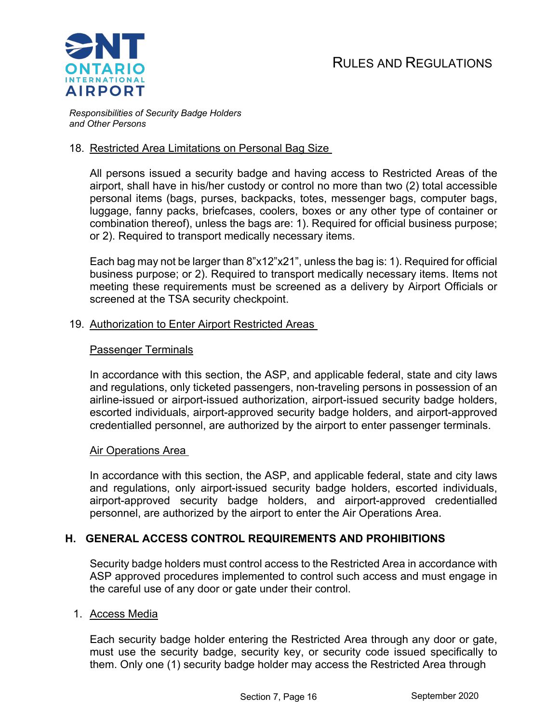

### 18. Restricted Area Limitations on Personal Bag Size

All persons issued a security badge and having access to Restricted Areas of the airport, shall have in his/her custody or control no more than two (2) total accessible personal items (bags, purses, backpacks, totes, messenger bags, computer bags, luggage, fanny packs, briefcases, coolers, boxes or any other type of container or combination thereof), unless the bags are: 1). Required for official business purpose; or 2). Required to transport medically necessary items.

Each bag may not be larger than 8"x12"x21", unless the bag is: 1). Required for official business purpose; or 2). Required to transport medically necessary items. Items not meeting these requirements must be screened as a delivery by Airport Officials or screened at the TSA security checkpoint.

### 19. Authorization to Enter Airport Restricted Areas

### Passenger Terminals

In accordance with this section, the ASP, and applicable federal, state and city laws and regulations, only ticketed passengers, non-traveling persons in possession of an airline-issued or airport-issued authorization, airport-issued security badge holders, escorted individuals, airport-approved security badge holders, and airport-approved credentialled personnel, are authorized by the airport to enter passenger terminals.

### Air Operations Area

In accordance with this section, the ASP, and applicable federal, state and city laws and regulations, only airport-issued security badge holders, escorted individuals, airport-approved security badge holders, and airport-approved credentialled personnel, are authorized by the airport to enter the Air Operations Area.

### **H. GENERAL ACCESS CONTROL REQUIREMENTS AND PROHIBITIONS**

Security badge holders must control access to the Restricted Area in accordance with ASP approved procedures implemented to control such access and must engage in the careful use of any door or gate under their control.

### 1. Access Media

Each security badge holder entering the Restricted Area through any door or gate, must use the security badge, security key, or security code issued specifically to them. Only one (1) security badge holder may access the Restricted Area through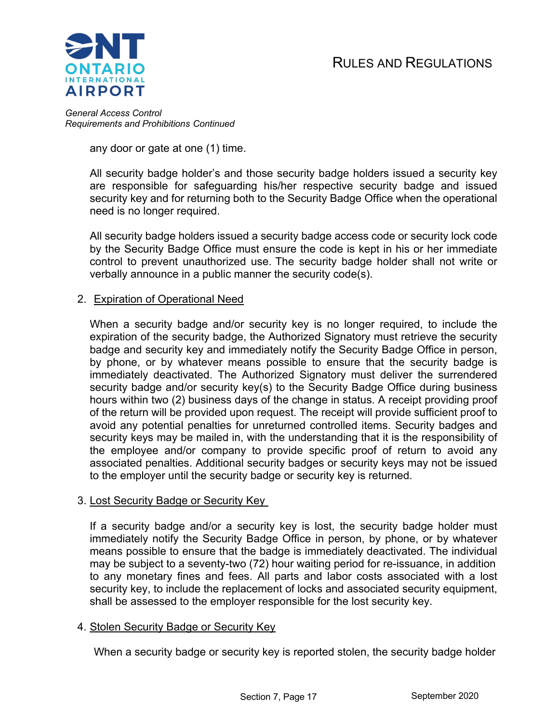

any door or gate at one (1) time.

All security badge holder's and those security badge holders issued a security key are responsible for safeguarding his/her respective security badge and issued security key and for returning both to the Security Badge Office when the operational need is no longer required.

All security badge holders issued a security badge access code or security lock code by the Security Badge Office must ensure the code is kept in his or her immediate control to prevent unauthorized use. The security badge holder shall not write or verbally announce in a public manner the security code(s).

### 2. Expiration of Operational Need

When a security badge and/or security key is no longer required, to include the expiration of the security badge, the Authorized Signatory must retrieve the security badge and security key and immediately notify the Security Badge Office in person, by phone, or by whatever means possible to ensure that the security badge is immediately deactivated. The Authorized Signatory must deliver the surrendered security badge and/or security key(s) to the Security Badge Office during business hours within two (2) business days of the change in status. A receipt providing proof of the return will be provided upon request. The receipt will provide sufficient proof to avoid any potential penalties for unreturned controlled items. Security badges and security keys may be mailed in, with the understanding that it is the responsibility of the employee and/or company to provide specific proof of return to avoid any associated penalties. Additional security badges or security keys may not be issued to the employer until the security badge or security key is returned.

### 3. Lost Security Badge or Security Key

If a security badge and/or a security key is lost, the security badge holder must immediately notify the Security Badge Office in person, by phone, or by whatever means possible to ensure that the badge is immediately deactivated. The individual may be subject to a seventy-two (72) hour waiting period for re-issuance, in addition to any monetary fines and fees. All parts and labor costs associated with a lost security key, to include the replacement of locks and associated security equipment, shall be assessed to the employer responsible for the lost security key.

### 4. Stolen Security Badge or Security Key

When a security badge or security key is reported stolen, the security badge holder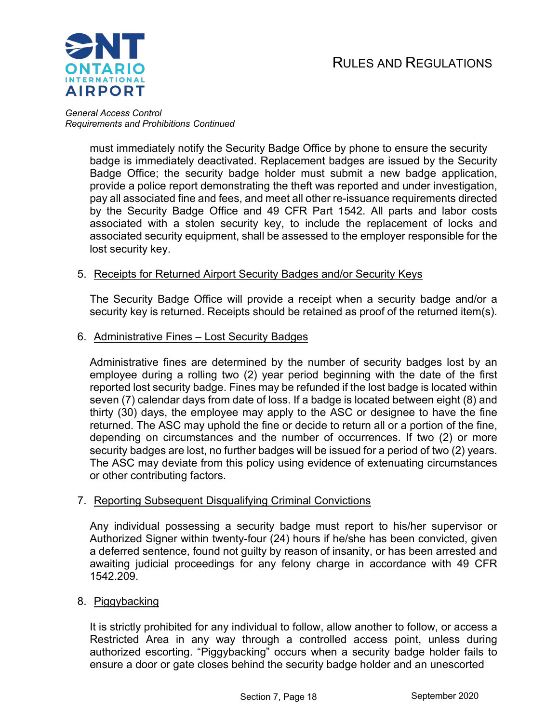

> must immediately notify the Security Badge Office by phone to ensure the security badge is immediately deactivated. Replacement badges are issued by the Security Badge Office; the security badge holder must submit a new badge application, provide a police report demonstrating the theft was reported and under investigation, pay all associated fine and fees, and meet all other re-issuance requirements directed by the Security Badge Office and 49 CFR Part 1542. All parts and labor costs associated with a stolen security key, to include the replacement of locks and associated security equipment, shall be assessed to the employer responsible for the lost security key.

### 5. Receipts for Returned Airport Security Badges and/or Security Keys

The Security Badge Office will provide a receipt when a security badge and/or a security key is returned. Receipts should be retained as proof of the returned item(s).

### 6. Administrative Fines – Lost Security Badges

Administrative fines are determined by the number of security badges lost by an employee during a rolling two (2) year period beginning with the date of the first reported lost security badge. Fines may be refunded if the lost badge is located within seven (7) calendar days from date of loss. If a badge is located between eight (8) and thirty (30) days, the employee may apply to the ASC or designee to have the fine returned. The ASC may uphold the fine or decide to return all or a portion of the fine, depending on circumstances and the number of occurrences. If two (2) or more security badges are lost, no further badges will be issued for a period of two (2) years. The ASC may deviate from this policy using evidence of extenuating circumstances or other contributing factors.

### 7. Reporting Subsequent Disqualifying Criminal Convictions

Any individual possessing a security badge must report to his/her supervisor or Authorized Signer within twenty-four (24) hours if he/she has been convicted, given a deferred sentence, found not guilty by reason of insanity, or has been arrested and awaiting judicial proceedings for any felony charge in accordance with 49 CFR 1542.209.

### 8. Piggybacking

It is strictly prohibited for any individual to follow, allow another to follow, or access a Restricted Area in any way through a controlled access point, unless during authorized escorting. "Piggybacking" occurs when a security badge holder fails to ensure a door or gate closes behind the security badge holder and an unescorted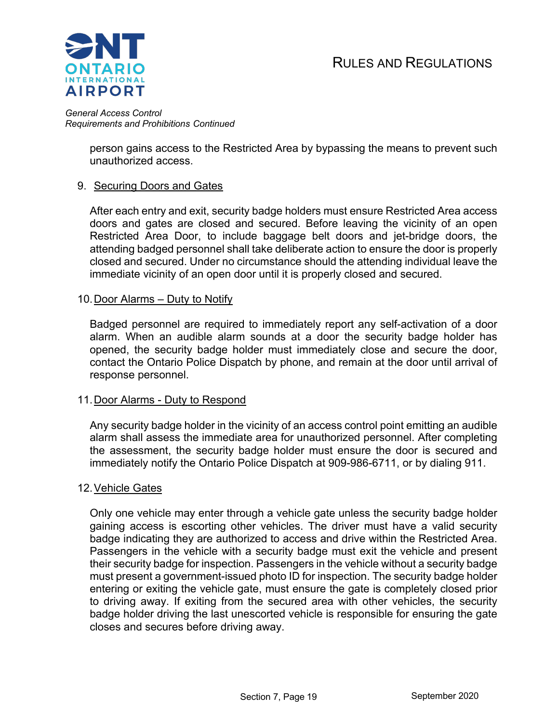

> person gains access to the Restricted Area by bypassing the means to prevent such unauthorized access.

### 9. Securing Doors and Gates

After each entry and exit, security badge holders must ensure Restricted Area access doors and gates are closed and secured. Before leaving the vicinity of an open Restricted Area Door, to include baggage belt doors and jet-bridge doors, the attending badged personnel shall take deliberate action to ensure the door is properly closed and secured. Under no circumstance should the attending individual leave the immediate vicinity of an open door until it is properly closed and secured.

### 10.Door Alarms – Duty to Notify

Badged personnel are required to immediately report any self-activation of a door alarm. When an audible alarm sounds at a door the security badge holder has opened, the security badge holder must immediately close and secure the door, contact the Ontario Police Dispatch by phone, and remain at the door until arrival of response personnel.

### 11.Door Alarms - Duty to Respond

Any security badge holder in the vicinity of an access control point emitting an audible alarm shall assess the immediate area for unauthorized personnel. After completing the assessment, the security badge holder must ensure the door is secured and immediately notify the Ontario Police Dispatch at 909-986-6711, or by dialing 911.

### 12.Vehicle Gates

Only one vehicle may enter through a vehicle gate unless the security badge holder gaining access is escorting other vehicles. The driver must have a valid security badge indicating they are authorized to access and drive within the Restricted Area. Passengers in the vehicle with a security badge must exit the vehicle and present their security badge for inspection. Passengers in the vehicle without a security badge must present a government-issued photo ID for inspection. The security badge holder entering or exiting the vehicle gate, must ensure the gate is completely closed prior to driving away. If exiting from the secured area with other vehicles, the security badge holder driving the last unescorted vehicle is responsible for ensuring the gate closes and secures before driving away.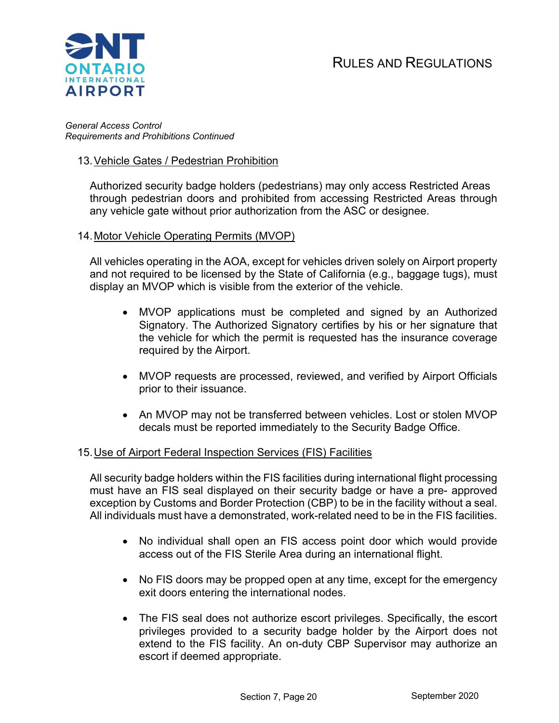



### 13.Vehicle Gates / Pedestrian Prohibition

Authorized security badge holders (pedestrians) may only access Restricted Areas through pedestrian doors and prohibited from accessing Restricted Areas through any vehicle gate without prior authorization from the ASC or designee.

### 14.Motor Vehicle Operating Permits (MVOP)

All vehicles operating in the AOA, except for vehicles driven solely on Airport property and not required to be licensed by the State of California (e.g., baggage tugs), must display an MVOP which is visible from the exterior of the vehicle.

- MVOP applications must be completed and signed by an Authorized Signatory. The Authorized Signatory certifies by his or her signature that the vehicle for which the permit is requested has the insurance coverage required by the Airport.
- MVOP requests are processed, reviewed, and verified by Airport Officials prior to their issuance.
- An MVOP may not be transferred between vehicles. Lost or stolen MVOP decals must be reported immediately to the Security Badge Office.

### 15.Use of Airport Federal Inspection Services (FIS) Facilities

All security badge holders within the FIS facilities during international flight processing must have an FIS seal displayed on their security badge or have a pre- approved exception by Customs and Border Protection (CBP) to be in the facility without a seal. All individuals must have a demonstrated, work-related need to be in the FIS facilities.

- No individual shall open an FIS access point door which would provide access out of the FIS Sterile Area during an international flight.
- No FIS doors may be propped open at any time, except for the emergency exit doors entering the international nodes.
- The FIS seal does not authorize escort privileges. Specifically, the escort privileges provided to a security badge holder by the Airport does not extend to the FIS facility. An on-duty CBP Supervisor may authorize an escort if deemed appropriate.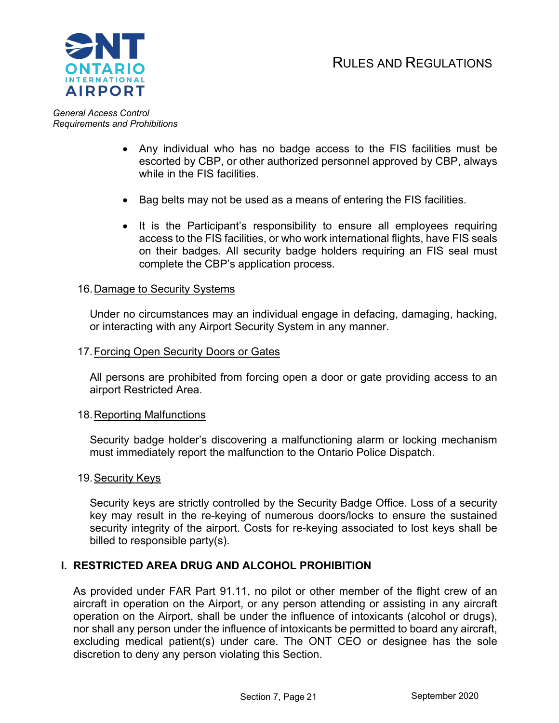



- Any individual who has no badge access to the FIS facilities must be escorted by CBP, or other authorized personnel approved by CBP, always while in the FIS facilities.
- Bag belts may not be used as a means of entering the FIS facilities.
- It is the Participant's responsibility to ensure all employees requiring access to the FIS facilities, or who work international flights, have FIS seals on their badges. All security badge holders requiring an FIS seal must complete the CBP's application process.

#### 16.Damage to Security Systems

Under no circumstances may an individual engage in defacing, damaging, hacking, or interacting with any Airport Security System in any manner.

#### 17.Forcing Open Security Doors or Gates

All persons are prohibited from forcing open a door or gate providing access to an airport Restricted Area.

#### 18.Reporting Malfunctions

Security badge holder's discovering a malfunctioning alarm or locking mechanism must immediately report the malfunction to the Ontario Police Dispatch.

#### 19.Security Keys

Security keys are strictly controlled by the Security Badge Office. Loss of a security key may result in the re-keying of numerous doors/locks to ensure the sustained security integrity of the airport. Costs for re-keying associated to lost keys shall be billed to responsible party(s).

### **I. RESTRICTED AREA DRUG AND ALCOHOL PROHIBITION**

As provided under FAR Part 91.11, no pilot or other member of the flight crew of an aircraft in operation on the Airport, or any person attending or assisting in any aircraft operation on the Airport, shall be under the influence of intoxicants (alcohol or drugs), nor shall any person under the influence of intoxicants be permitted to board any aircraft, excluding medical patient(s) under care. The ONT CEO or designee has the sole discretion to deny any person violating this Section.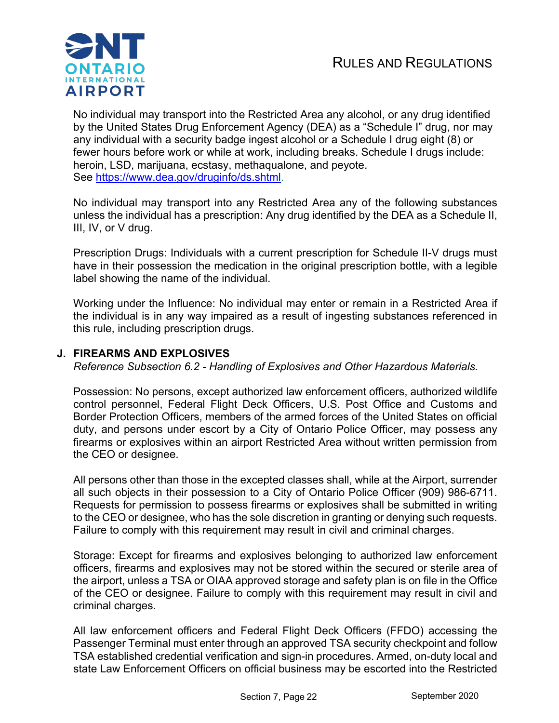

No individual may transport into the Restricted Area any alcohol, or any drug identified by the United States Drug Enforcement Agency (DEA) as a "Schedule I" drug, nor may any individual with a security badge ingest alcohol or a Schedule I drug eight (8) or fewer hours before work or while at work, including breaks. Schedule I drugs include: heroin, LSD, marijuana, ecstasy, methaqualone, and peyote. See https://www.dea.gov/druginfo/ds.shtml.

No individual may transport into any Restricted Area any of the following substances unless the individual has a prescription: Any drug identified by the DEA as a Schedule II, III, IV, or V drug.

Prescription Drugs: Individuals with a current prescription for Schedule II-V drugs must have in their possession the medication in the original prescription bottle, with a legible label showing the name of the individual.

Working under the Influence: No individual may enter or remain in a Restricted Area if the individual is in any way impaired as a result of ingesting substances referenced in this rule, including prescription drugs.

### **J. FIREARMS AND EXPLOSIVES**

*Reference Subsection 6.2 - Handling of Explosives and Other Hazardous Materials.*

Possession: No persons, except authorized law enforcement officers, authorized wildlife control personnel, Federal Flight Deck Officers, U.S. Post Office and Customs and Border Protection Officers, members of the armed forces of the United States on official duty, and persons under escort by a City of Ontario Police Officer, may possess any firearms or explosives within an airport Restricted Area without written permission from the CEO or designee.

All persons other than those in the excepted classes shall, while at the Airport, surrender all such objects in their possession to a City of Ontario Police Officer (909) 986-6711. Requests for permission to possess firearms or explosives shall be submitted in writing to the CEO or designee, who has the sole discretion in granting or denying such requests. Failure to comply with this requirement may result in civil and criminal charges.

Storage: Except for firearms and explosives belonging to authorized law enforcement officers, firearms and explosives may not be stored within the secured or sterile area of the airport, unless a TSA or OIAA approved storage and safety plan is on file in the Office of the CEO or designee. Failure to comply with this requirement may result in civil and criminal charges.

All law enforcement officers and Federal Flight Deck Officers (FFDO) accessing the Passenger Terminal must enter through an approved TSA security checkpoint and follow TSA established credential verification and sign-in procedures. Armed, on-duty local and state Law Enforcement Officers on official business may be escorted into the Restricted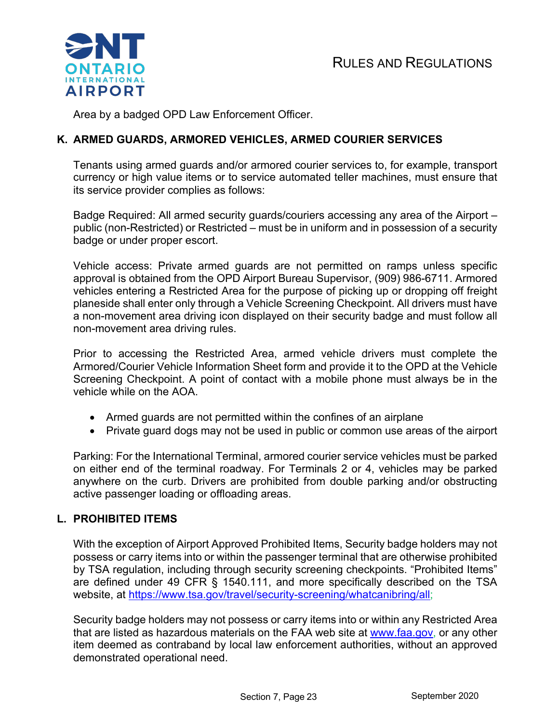

Area by a badged OPD Law Enforcement Officer.

### **K. ARMED GUARDS, ARMORED VEHICLES, ARMED COURIER SERVICES**

Tenants using armed guards and/or armored courier services to, for example, transport currency or high value items or to service automated teller machines, must ensure that its service provider complies as follows:

Badge Required: All armed security guards/couriers accessing any area of the Airport – public (non-Restricted) or Restricted – must be in uniform and in possession of a security badge or under proper escort.

Vehicle access: Private armed guards are not permitted on ramps unless specific approval is obtained from the OPD Airport Bureau Supervisor, (909) 986-6711. Armored vehicles entering a Restricted Area for the purpose of picking up or dropping off freight planeside shall enter only through a Vehicle Screening Checkpoint. All drivers must have a non-movement area driving icon displayed on their security badge and must follow all non-movement area driving rules.

Prior to accessing the Restricted Area, armed vehicle drivers must complete the Armored/Courier Vehicle Information Sheet form and provide it to the OPD at the Vehicle Screening Checkpoint. A point of contact with a mobile phone must always be in the vehicle while on the AOA.

- Armed guards are not permitted within the confines of an airplane
- Private guard dogs may not be used in public or common use areas of the airport

Parking: For the International Terminal, armored courier service vehicles must be parked on either end of the terminal roadway. For Terminals 2 or 4, vehicles may be parked anywhere on the curb. Drivers are prohibited from double parking and/or obstructing active passenger loading or offloading areas.

# **L. PROHIBITED ITEMS**

With the exception of Airport Approved Prohibited Items, Security badge holders may not possess or carry items into or within the passenger terminal that are otherwise prohibited by TSA regulation, including through security screening checkpoints. "Prohibited Items" are defined under 49 CFR § 1540.111, and more specifically described on the TSA website, at https://www.tsa.gov/travel/security-screening/whatcanibring/all;

Security badge holders may not possess or carry items into or within any Restricted Area that are listed as hazardous materials on the FAA web site at www.faa.gov, or any other item deemed as contraband by local law enforcement authorities, without an approved demonstrated operational need.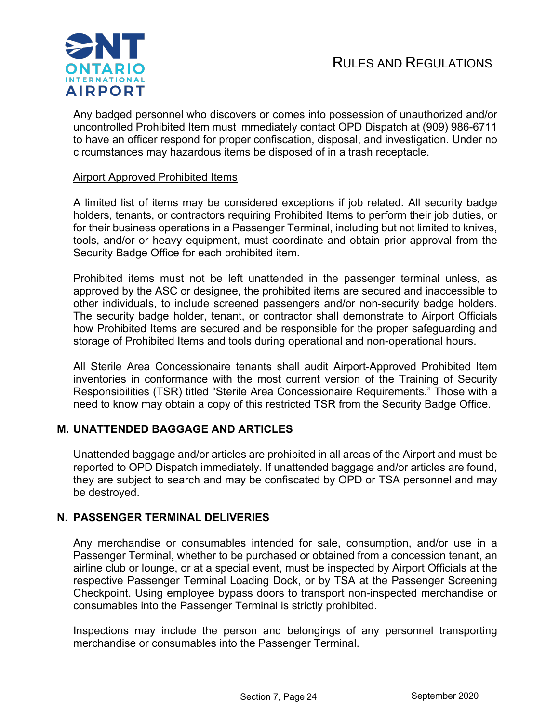

Any badged personnel who discovers or comes into possession of unauthorized and/or uncontrolled Prohibited Item must immediately contact OPD Dispatch at (909) 986-6711 to have an officer respond for proper confiscation, disposal, and investigation. Under no circumstances may hazardous items be disposed of in a trash receptacle.

### Airport Approved Prohibited Items

A limited list of items may be considered exceptions if job related. All security badge holders, tenants, or contractors requiring Prohibited Items to perform their job duties, or for their business operations in a Passenger Terminal, including but not limited to knives, tools, and/or or heavy equipment, must coordinate and obtain prior approval from the Security Badge Office for each prohibited item.

Prohibited items must not be left unattended in the passenger terminal unless, as approved by the ASC or designee, the prohibited items are secured and inaccessible to other individuals, to include screened passengers and/or non-security badge holders. The security badge holder, tenant, or contractor shall demonstrate to Airport Officials how Prohibited Items are secured and be responsible for the proper safeguarding and storage of Prohibited Items and tools during operational and non-operational hours.

All Sterile Area Concessionaire tenants shall audit Airport-Approved Prohibited Item inventories in conformance with the most current version of the Training of Security Responsibilities (TSR) titled "Sterile Area Concessionaire Requirements." Those with a need to know may obtain a copy of this restricted TSR from the Security Badge Office.

### **M. UNATTENDED BAGGAGE AND ARTICLES**

Unattended baggage and/or articles are prohibited in all areas of the Airport and must be reported to OPD Dispatch immediately. If unattended baggage and/or articles are found, they are subject to search and may be confiscated by OPD or TSA personnel and may be destroyed.

### **N. PASSENGER TERMINAL DELIVERIES**

Any merchandise or consumables intended for sale, consumption, and/or use in a Passenger Terminal, whether to be purchased or obtained from a concession tenant, an airline club or lounge, or at a special event, must be inspected by Airport Officials at the respective Passenger Terminal Loading Dock, or by TSA at the Passenger Screening Checkpoint. Using employee bypass doors to transport non-inspected merchandise or consumables into the Passenger Terminal is strictly prohibited.

Inspections may include the person and belongings of any personnel transporting merchandise or consumables into the Passenger Terminal.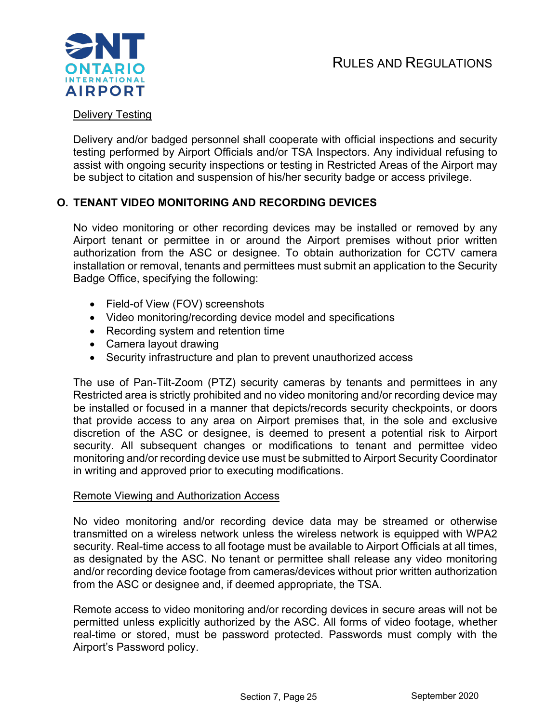

### Delivery Testing

Delivery and/or badged personnel shall cooperate with official inspections and security testing performed by Airport Officials and/or TSA Inspectors. Any individual refusing to assist with ongoing security inspections or testing in Restricted Areas of the Airport may be subject to citation and suspension of his/her security badge or access privilege.

# **O. TENANT VIDEO MONITORING AND RECORDING DEVICES**

No video monitoring or other recording devices may be installed or removed by any Airport tenant or permittee in or around the Airport premises without prior written authorization from the ASC or designee. To obtain authorization for CCTV camera installation or removal, tenants and permittees must submit an application to the Security Badge Office, specifying the following:

- Field-of View (FOV) screenshots
- Video monitoring/recording device model and specifications
- Recording system and retention time
- Camera layout drawing
- Security infrastructure and plan to prevent unauthorized access

The use of Pan-Tilt-Zoom (PTZ) security cameras by tenants and permittees in any Restricted area is strictly prohibited and no video monitoring and/or recording device may be installed or focused in a manner that depicts/records security checkpoints, or doors that provide access to any area on Airport premises that, in the sole and exclusive discretion of the ASC or designee, is deemed to present a potential risk to Airport security. All subsequent changes or modifications to tenant and permittee video monitoring and/or recording device use must be submitted to Airport Security Coordinator in writing and approved prior to executing modifications.

### Remote Viewing and Authorization Access

No video monitoring and/or recording device data may be streamed or otherwise transmitted on a wireless network unless the wireless network is equipped with WPA2 security. Real-time access to all footage must be available to Airport Officials at all times, as designated by the ASC. No tenant or permittee shall release any video monitoring and/or recording device footage from cameras/devices without prior written authorization from the ASC or designee and, if deemed appropriate, the TSA.

Remote access to video monitoring and/or recording devices in secure areas will not be permitted unless explicitly authorized by the ASC. All forms of video footage, whether real-time or stored, must be password protected. Passwords must comply with the Airport's Password policy.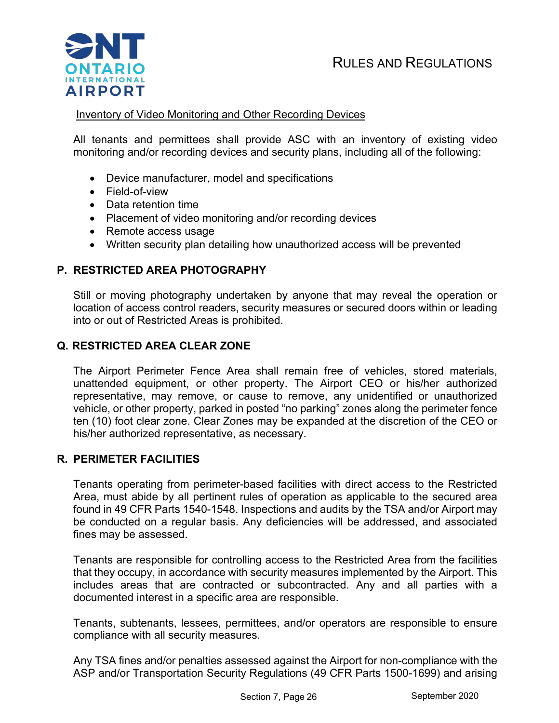

### Inventory of Video Monitoring and Other Recording Devices

All tenants and permittees shall provide ASC with an inventory of existing video monitoring and/or recording devices and security plans, including all of the following:

- Device manufacturer, model and specifications
- Field-of-view
- Data retention time
- Placement of video monitoring and/or recording devices
- Remote access usage
- Written security plan detailing how unauthorized access will be prevented

### **P. RESTRICTED AREA PHOTOGRAPHY**

Still or moving photography undertaken by anyone that may reveal the operation or location of access control readers, security measures or secured doors within or leading into or out of Restricted Areas is prohibited.

### **Q. RESTRICTED AREA CLEAR ZONE**

The Airport Perimeter Fence Area shall remain free of vehicles, stored materials, unattended equipment, or other property. The Airport CEO or his/her authorized representative, may remove, or cause to remove, any unidentified or unauthorized vehicle, or other property, parked in posted "no parking" zones along the perimeter fence ten (10) foot clear zone. Clear Zones may be expanded at the discretion of the CEO or his/her authorized representative, as necessary.

### **R. PERIMETER FACILITIES**

Tenants operating from perimeter-based facilities with direct access to the Restricted Area, must abide by all pertinent rules of operation as applicable to the secured area found in 49 CFR Parts 1540-1548. Inspections and audits by the TSA and/or Airport may be conducted on a regular basis. Any deficiencies will be addressed, and associated fines may be assessed.

Tenants are responsible for controlling access to the Restricted Area from the facilities that they occupy, in accordance with security measures implemented by the Airport. This includes areas that are contracted or subcontracted. Any and all parties with a documented interest in a specific area are responsible.

Tenants, subtenants, lessees, permittees, and/or operators are responsible to ensure compliance with all security measures.

Any TSA fines and/or penalties assessed against the Airport for non-compliance with the ASP and/or Transportation Security Regulations (49 CFR Parts 1500-1699) and arising